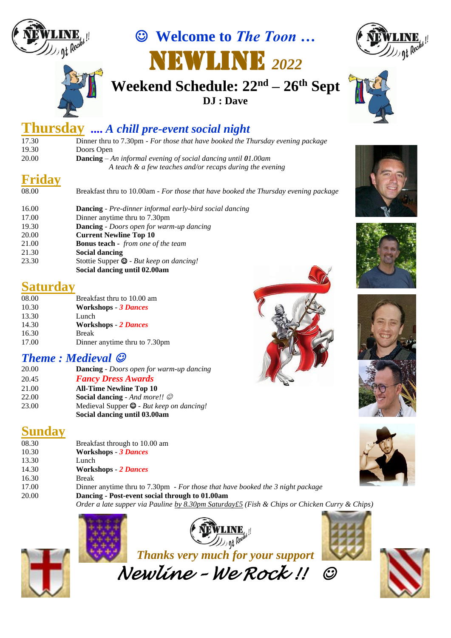

☺ **Welcome to** *The Toon …* Newline *<sup>2022</sup>*





**Weekend Schedule: 22nd – 26 th Sept DJ : Dave**

## **Thursday ....** *A chill pre-event social night*

| 17.30 | Dinner thru to 7.30pm - For those that have booked the Thursday evening package |
|-------|---------------------------------------------------------------------------------|
| 19.30 | Doors Open                                                                      |
| 20.00 | <b>Dancing</b> – An informal evening of social dancing until $01.00$ am         |
|       | A teach $\&$ a few teaches and/or recaps during the evening                     |
|       |                                                                                 |

## **Friday**

| 08.00 | Breakfast thru to 10.00am - For those that have booked the Thursday evening package |
|-------|-------------------------------------------------------------------------------------|
| 16.00 | <b>Dancing</b> - Pre-dinner informal early-bird social dancing                      |
| 17.00 | Dinner anytime thru to 7.30pm                                                       |
| 19.30 | <b>Dancing</b> - Doors open for warm-up dancing                                     |
| 20.00 | <b>Current Newline Top 10</b>                                                       |
| 21.00 | <b>Bonus teach</b> - from one of the team                                           |
| 21.30 | Social dancing                                                                      |
| 23.30 | Stottie Supper $\mathbf{\odot}$ - But keep on dancing!                              |
|       | Social dancing until 02.00am                                                        |

## **Saturday**

| 08.00 | Breakfast thru to 10.00 am    |
|-------|-------------------------------|
| 10.30 | <b>Workshops</b> - 3 Dances   |
| 13.30 | Lunch                         |
| 14.30 | <b>Workshops - 2 Dances</b>   |
| 16.30 | Break                         |
| 17.00 | Dinner anytime thru to 7.30pm |

## *Theme : Medieval* ☺

| 20.00 | <b>Dancing</b> - Doors open for warm-up dancing      |
|-------|------------------------------------------------------|
| 20.45 | <b>Fancy Dress Awards</b>                            |
| 21.00 | <b>All-Time Newline Top 10</b>                       |
| 22.00 | <b>Social dancing</b> - And more!! $\odot$           |
| 23.00 | Medieval Supper $\mathcal{Q}$ - But keep on dancing! |
|       | Social dancing until 03.00am                         |

## **Sunday**

| 08.30 | Breakfast through to 10.00 am                                                                |  |
|-------|----------------------------------------------------------------------------------------------|--|
| 10.30 | <b>Workshops - 3 Dances</b>                                                                  |  |
| 13.30 | Lunch                                                                                        |  |
| 14.30 | <b>Workshops - 2 Dances</b>                                                                  |  |
| 16.30 | Break                                                                                        |  |
| 17.00 | Dinner anytime thru to 7.30pm - For those that have booked the 3 night package               |  |
| 20.00 | Dancing - Post-event social through to 01.00am                                               |  |
|       | Order a late supper via Pauline by 8.30pm Saturday£5 (Fish & Chips or Chicken Curry & Chips) |  |



*Thanks very much for your support* 

*Newline – We Rock !!* ☺















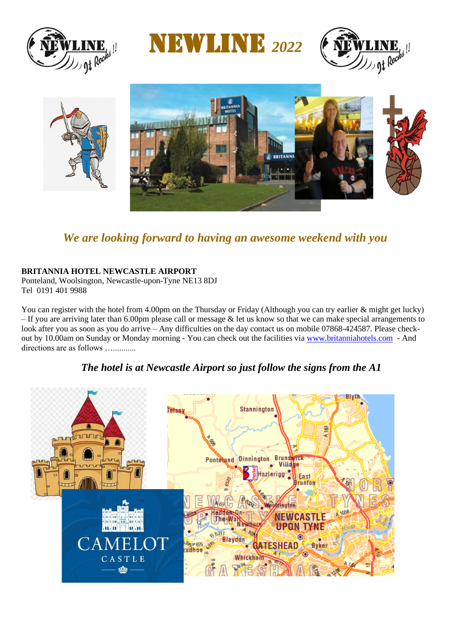

Newline *<sup>2022</sup>*





## *We are looking forward to having an awesome weekend with you*

#### **BRITANNIA HOTEL NEWCASTLE AIRPORT**

Ponteland, Woolsington, Newcastle-upon-Tyne NE13 8DJ Tel 0191 401 9988

You can register with the hotel from 4.00pm on the Thursday or Friday (Although you can try earlier & might get lucky) – If you are arriving later than 6.00pm please call or message  $\&$  let us know so that we can make special arrangements to look after you as soon as you do arrive – Any difficulties on the day contact us on mobile 07868-424587. Please checkout by 10.00am on Sunday or Monday morning - You can check out the facilities via [www.britanniahotels.com](http://www.carringtonhousehotel.co.uk/) - And directions are as follows ...............

#### Stannington B Pontetand Dinnington Brun: vic Village azleriac East unton **kington** NEWCASTLE **UPON TYNE** ⋒ Blaydor  $C_A$  $\mathbb{R}^6$ **BEP 695 Byker SHEAD** udhoe CASTLE Whickl **of**

#### *The hotel is at Newcastle Airport so just follow the signs from the A1*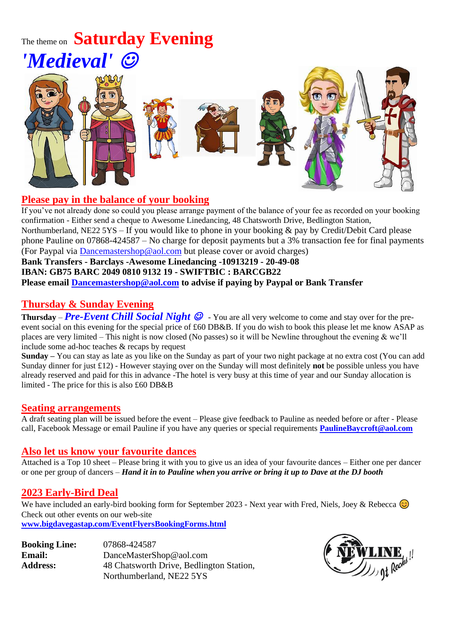## The theme on **Saturday Evening** *'Medieval'* ☺



#### **Please pay in the balance of your booking**

If you've not already done so could you please arrange payment of the balance of your fee as recorded on your booking confirmation - Either send a cheque to Awesome Linedancing, 48 Chatsworth Drive, Bedlington Station, Northumberland, NE22 5YS – If you would like to phone in your booking & pay by Credit/Debit Card please phone Pauline on 07868-424587 – No charge for deposit payments but a 3% transaction fee for final payments (For Paypal via [Dancemastershop@aol.com](mailto:Dancemastershop@aol.com) but please cover or avoid charges) **Bank Transfers - Barclays -Awesome Linedancing -10913219 - 20-49-08 IBAN: GB75 BARC 2049 0810 9132 19 - SWIFTBIC : BARCGB22**

## **Please email [Dancemastershop@aol.com](mailto:Dancemastershop@aol.com) to advise if paying by Paypal or Bank Transfer**

#### **Thursday & Sunday Evening**

**Thursday** – *Pre-Event**Chill**Social Night* $\mathcal{O}$  **- You are all very welcome to come and stay over for the pre**event social on this evening for the special price of £60 DB&B. If you do wish to book this please let me know ASAP as places are very limited – This night is now closed (No passes) so it will be Newline throughout the evening & we'll include some ad-hoc teaches & recaps by request

**Sunday –** You can stay as late as you like on the Sunday as part of your two night package at no extra cost (You can add Sunday dinner for just £12) - However staying over on the Sunday will most definitely **not** be possible unless you have already reserved and paid for this in advance -The hotel is very busy at this time of year and our Sunday allocation is limited - The price for this is also £60 DB&B

#### **Seating arrangements**

A draft seating plan will be issued before the event – Please give feedback to Pauline as needed before or after - Please call, Facebook Message or email Pauline if you have any queries or special requirements **[PaulineBaycroft@aol.com](mailto:PaulineBaycroft@aol.com)**

#### **Also let us know your favourite dances**

Attached is a Top 10 sheet – Please bring it with you to give us an idea of your favourite dances – Either one per dancer or one per group of dancers – *Hand it in to Pauline when you arrive or bring it up to Dave at the DJ booth*

#### **2023 Early-Bird Deal**

We have included an early-bird booking form for September 2023 - Next year with Fred, Niels, Joey & Rebecca  $\odot$ Check out other events on our web-site **[www.bigdavegastap.com/EventFlyersBookingForms.html](http://www.bigdavegastap.com/EventFlyersBookingForms.html)**

| <b>Booking Line:</b> | 07868-424587                             |
|----------------------|------------------------------------------|
| <b>Email:</b>        | DanceMasterShop@aol.com                  |
| <b>Address:</b>      | 48 Chatsworth Drive, Bedlington Station, |
|                      | Northumberland, NE22 5YS                 |

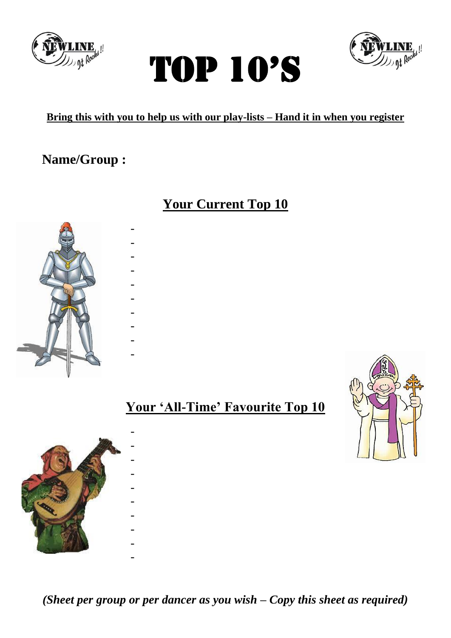





### **Bring this with you to help us with our play-lists – Hand it in when you register**

## **Name/Group :**

- - - - - - - - - -

## **Your Current Top 10**



## **Your 'All-Time' Favourite Top 10**



*(Sheet per group or per dancer as you wish – Copy this sheet as required)*